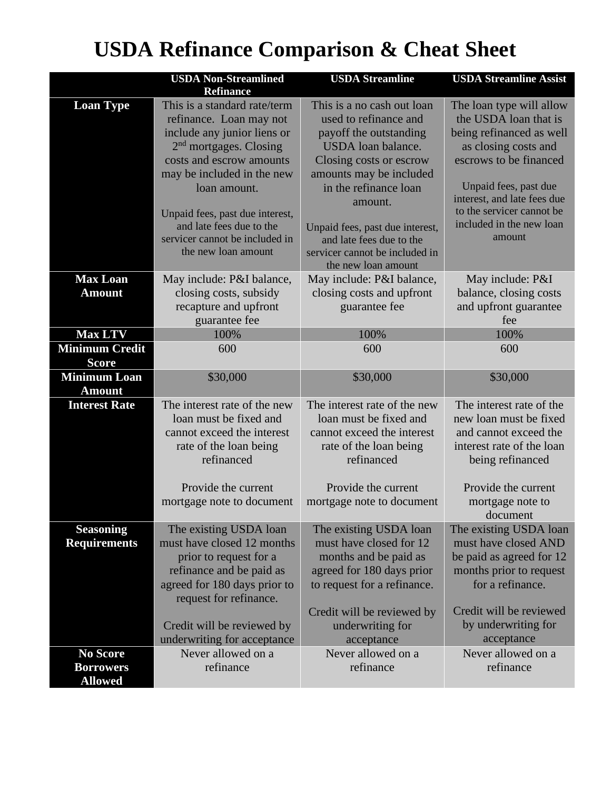|                       | <b>USDA Non-Streamlined</b><br><b>Refinance</b>         | <b>USDA Streamline</b>                              | <b>USDA Streamline Assist</b>                     |
|-----------------------|---------------------------------------------------------|-----------------------------------------------------|---------------------------------------------------|
| <b>Loan Type</b>      | This is a standard rate/term<br>refinance. Loan may not | This is a no cash out loan<br>used to refinance and | The loan type will allow<br>the USDA loan that is |
|                       | include any junior liens or                             | payoff the outstanding                              | being refinanced as well                          |
|                       | $2nd$ mortgages. Closing                                | <b>USDA</b> loan balance.                           | as closing costs and                              |
|                       | costs and escrow amounts                                | Closing costs or escrow                             | escrows to be financed                            |
|                       | may be included in the new                              | amounts may be included                             |                                                   |
|                       | loan amount.                                            | in the refinance loan                               | Unpaid fees, past due                             |
|                       |                                                         | amount.                                             | interest, and late fees due                       |
|                       | Unpaid fees, past due interest,                         |                                                     | to the servicer cannot be                         |
|                       | and late fees due to the                                | Unpaid fees, past due interest,                     | included in the new loan                          |
|                       | servicer cannot be included in                          | and late fees due to the                            | amount                                            |
|                       | the new loan amount                                     | servicer cannot be included in                      |                                                   |
|                       |                                                         | the new loan amount                                 |                                                   |
| <b>Max Loan</b>       | May include: P&I balance,                               | May include: P&I balance,                           | May include: P&I                                  |
| <b>Amount</b>         | closing costs, subsidy                                  | closing costs and upfront                           | balance, closing costs                            |
|                       | recapture and upfront                                   | guarantee fee                                       | and upfront guarantee                             |
|                       | guarantee fee                                           |                                                     | fee                                               |
| <b>Max LTV</b>        | 100%                                                    | 100%                                                | 100%                                              |
| <b>Minimum Credit</b> | 600                                                     | 600                                                 | 600                                               |
| <b>Score</b>          |                                                         |                                                     |                                                   |
| <b>Minimum Loan</b>   | \$30,000                                                | \$30,000                                            | \$30,000                                          |
| <b>Amount</b>         |                                                         |                                                     |                                                   |
| <b>Interest Rate</b>  | The interest rate of the new                            | The interest rate of the new                        | The interest rate of the                          |
|                       | loan must be fixed and                                  | loan must be fixed and                              | new loan must be fixed                            |
|                       | cannot exceed the interest                              | cannot exceed the interest                          | and cannot exceed the                             |
|                       | rate of the loan being                                  | rate of the loan being                              | interest rate of the loan                         |
|                       | refinanced                                              | refinanced                                          | being refinanced                                  |
|                       | Provide the current                                     | Provide the current                                 | Provide the current                               |
|                       |                                                         | mortgage note to document                           | mortgage note to                                  |
|                       | mortgage note to document                               |                                                     | document                                          |
| <b>Seasoning</b>      | The existing USDA loan                                  | The existing USDA loan                              | The existing USDA loan                            |
| <b>Requirements</b>   | must have closed 12 months                              | must have closed for 12                             | must have closed AND                              |
|                       | prior to request for a                                  | months and be paid as                               | be paid as agreed for 12                          |
|                       | refinance and be paid as                                | agreed for 180 days prior                           | months prior to request                           |
|                       | agreed for 180 days prior to                            | to request for a refinance.                         | for a refinance.                                  |
|                       | request for refinance.                                  |                                                     |                                                   |
|                       |                                                         | Credit will be reviewed by                          | Credit will be reviewed                           |
|                       | Credit will be reviewed by                              | underwriting for                                    | by underwriting for                               |
|                       | underwriting for acceptance                             | acceptance                                          | acceptance                                        |
| No Score              | Never allowed on a                                      | Never allowed on a                                  | Never allowed on a                                |
| <b>Borrowers</b>      | refinance                                               | refinance                                           | refinance                                         |
| <b>Allowed</b>        |                                                         |                                                     |                                                   |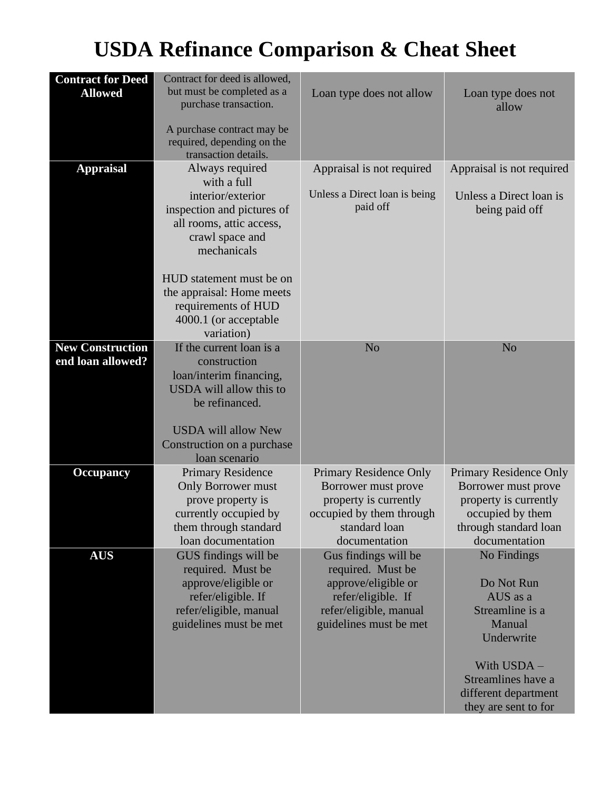| <b>Contract for Deed</b> | Contract for deed is allowed,                    |                                           |                           |
|--------------------------|--------------------------------------------------|-------------------------------------------|---------------------------|
| <b>Allowed</b>           | but must be completed as a                       | Loan type does not allow                  | Loan type does not        |
|                          | purchase transaction.                            |                                           | allow                     |
|                          | A purchase contract may be                       |                                           |                           |
|                          | required, depending on the                       |                                           |                           |
|                          | transaction details.                             |                                           |                           |
| <b>Appraisal</b>         | Always required                                  | Appraisal is not required                 | Appraisal is not required |
|                          | with a full                                      |                                           |                           |
|                          | interior/exterior                                | Unless a Direct loan is being             | Unless a Direct loan is   |
|                          | inspection and pictures of                       | paid off                                  | being paid off            |
|                          | all rooms, attic access,                         |                                           |                           |
|                          | crawl space and                                  |                                           |                           |
|                          | mechanicals                                      |                                           |                           |
|                          |                                                  |                                           |                           |
|                          | HUD statement must be on                         |                                           |                           |
|                          | the appraisal: Home meets<br>requirements of HUD |                                           |                           |
|                          | 4000.1 (or acceptable                            |                                           |                           |
|                          | variation)                                       |                                           |                           |
| <b>New Construction</b>  | If the current loan is a                         | N <sub>o</sub>                            | N <sub>o</sub>            |
| end loan allowed?        | construction                                     |                                           |                           |
|                          | loan/interim financing,                          |                                           |                           |
|                          | USDA will allow this to                          |                                           |                           |
|                          | be refinanced.                                   |                                           |                           |
|                          |                                                  |                                           |                           |
|                          | <b>USDA</b> will allow New                       |                                           |                           |
|                          | Construction on a purchase                       |                                           |                           |
|                          | loan scenario                                    |                                           |                           |
| <b>Occupancy</b>         | <b>Primary Residence</b>                         | <b>Primary Residence Only</b>             | Primary Residence Only    |
|                          | <b>Only Borrower must</b>                        | Borrower must prove                       | Borrower must prove       |
|                          | prove property is                                | property is currently                     | property is currently     |
|                          | currently occupied by                            | occupied by them through                  | occupied by them          |
|                          | them through standard                            | standard loan                             | through standard loan     |
|                          | loan documentation                               | documentation                             | documentation             |
| <b>AUS</b>               | GUS findings will be<br>required. Must be        | Gus findings will be<br>required. Must be | No Findings               |
|                          | approve/eligible or                              | approve/eligible or                       | Do Not Run                |
|                          | refer/eligible. If                               | refer/eligible. If                        | AUS as a                  |
|                          | refer/eligible, manual                           | refer/eligible, manual                    | Streamline is a           |
|                          | guidelines must be met                           | guidelines must be met                    | Manual                    |
|                          |                                                  |                                           | Underwrite                |
|                          |                                                  |                                           |                           |
|                          |                                                  |                                           | With USDA -               |
|                          |                                                  |                                           | Streamlines have a        |
|                          |                                                  |                                           | different department      |
|                          |                                                  |                                           | they are sent to for      |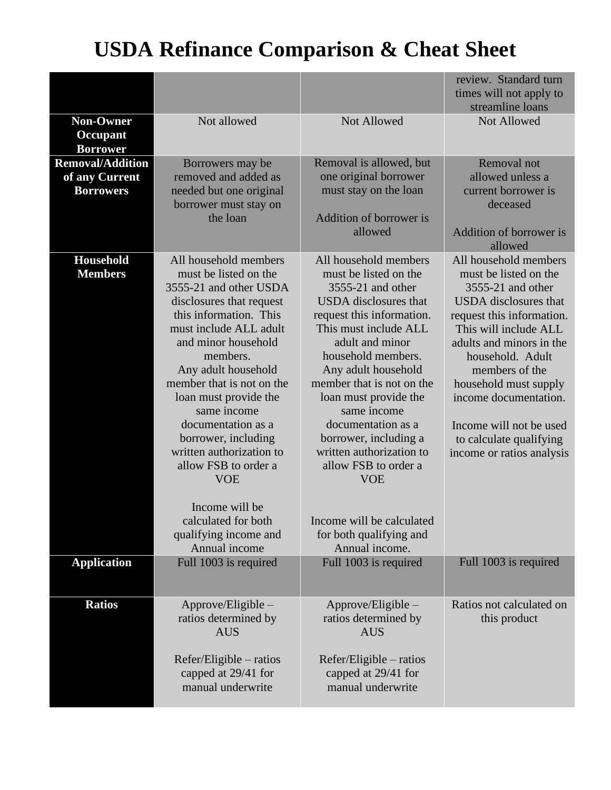|                                                               |                                                                                                                                                                                                                                                                                                                                                                                                                                                                                                                    |                                                                                                                                                                                                                                                                                                                                                                                                                                                                                                                    | review. Standard turn<br>times will not apply to<br>streamline loans                                                                                                                                                                                                                                                                                                                      |
|---------------------------------------------------------------|--------------------------------------------------------------------------------------------------------------------------------------------------------------------------------------------------------------------------------------------------------------------------------------------------------------------------------------------------------------------------------------------------------------------------------------------------------------------------------------------------------------------|--------------------------------------------------------------------------------------------------------------------------------------------------------------------------------------------------------------------------------------------------------------------------------------------------------------------------------------------------------------------------------------------------------------------------------------------------------------------------------------------------------------------|-------------------------------------------------------------------------------------------------------------------------------------------------------------------------------------------------------------------------------------------------------------------------------------------------------------------------------------------------------------------------------------------|
| <b>Non-Owner</b><br>Occupant<br><b>Borrower</b>               | Not allowed                                                                                                                                                                                                                                                                                                                                                                                                                                                                                                        | <b>Not Allowed</b>                                                                                                                                                                                                                                                                                                                                                                                                                                                                                                 | Not Allowed                                                                                                                                                                                                                                                                                                                                                                               |
| <b>Removal/Addition</b><br>of any Current<br><b>Borrowers</b> | Borrowers may be<br>removed and added as<br>needed but one original<br>borrower must stay on<br>the loan                                                                                                                                                                                                                                                                                                                                                                                                           | Removal is allowed, but<br>one original borrower<br>must stay on the loan<br>Addition of borrower is<br>allowed                                                                                                                                                                                                                                                                                                                                                                                                    | Removal not<br>allowed unless a<br>current borrower is<br>deceased<br>Addition of borrower is<br>allowed                                                                                                                                                                                                                                                                                  |
| <b>Household</b><br><b>Members</b><br><b>Application</b>      | All household members<br>must be listed on the<br>3555-21 and other USDA<br>disclosures that request<br>this information. This<br>must include ALL adult<br>and minor household<br>members.<br>Any adult household<br>member that is not on the<br>loan must provide the<br>same income<br>documentation as a<br>borrower, including<br>written authorization to<br>allow FSB to order a<br><b>VOE</b><br>Income will be<br>calculated for both<br>qualifying income and<br>Annual income<br>Full 1003 is required | All household members<br>must be listed on the<br>3555-21 and other<br><b>USDA</b> disclosures that<br>request this information.<br>This must include ALL<br>adult and minor<br>household members.<br>Any adult household<br>member that is not on the<br>loan must provide the<br>same income<br>documentation as a<br>borrower, including a<br>written authorization to<br>allow FSB to order a<br><b>VOE</b><br>Income will be calculated<br>for both qualifying and<br>Annual income.<br>Full 1003 is required | All household members<br>must be listed on the<br>3555-21 and other<br><b>USDA</b> disclosures that<br>request this information.<br>This will include ALL<br>adults and minors in the<br>household. Adult<br>members of the<br>household must supply<br>income documentation.<br>Income will not be used<br>to calculate qualifying<br>income or ratios analysis<br>Full 1003 is required |
|                                                               |                                                                                                                                                                                                                                                                                                                                                                                                                                                                                                                    |                                                                                                                                                                                                                                                                                                                                                                                                                                                                                                                    |                                                                                                                                                                                                                                                                                                                                                                                           |
| <b>Ratios</b>                                                 | $Approve/Eligible -$<br>ratios determined by<br><b>AUS</b><br>Refer/Eligible – ratios<br>capped at 29/41 for<br>manual underwrite                                                                                                                                                                                                                                                                                                                                                                                  | $Approve/Eligible -$<br>ratios determined by<br><b>AUS</b><br>$Refer/Eligible - ratios$<br>capped at 29/41 for<br>manual underwrite                                                                                                                                                                                                                                                                                                                                                                                | Ratios not calculated on<br>this product                                                                                                                                                                                                                                                                                                                                                  |